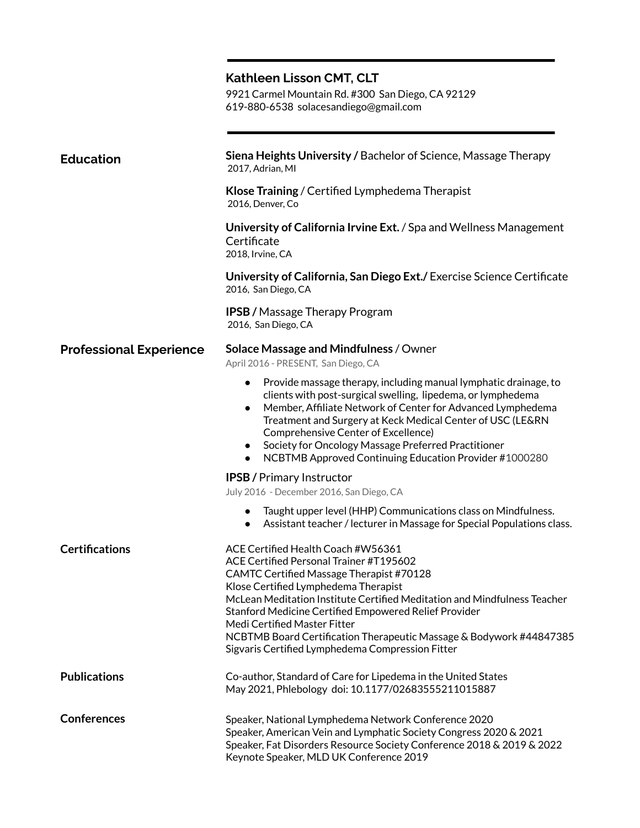|                                | <b>Kathleen Lisson CMT, CLT</b><br>9921 Carmel Mountain Rd. #300 San Diego, CA 92129<br>619-880-6538 solacesandiego@gmail.com                                                                                                                                                                                                                                                                                                                                                    |
|--------------------------------|----------------------------------------------------------------------------------------------------------------------------------------------------------------------------------------------------------------------------------------------------------------------------------------------------------------------------------------------------------------------------------------------------------------------------------------------------------------------------------|
| <b>Education</b>               | Siena Heights University / Bachelor of Science, Massage Therapy<br>2017, Adrian, MI                                                                                                                                                                                                                                                                                                                                                                                              |
|                                | Klose Training / Certified Lymphedema Therapist<br>2016, Denver, Co.                                                                                                                                                                                                                                                                                                                                                                                                             |
|                                | University of California Irvine Ext. / Spa and Wellness Management<br>Certificate<br>2018, Irvine, CA                                                                                                                                                                                                                                                                                                                                                                            |
|                                | University of California, San Diego Ext./ Exercise Science Certificate<br>2016, San Diego, CA                                                                                                                                                                                                                                                                                                                                                                                    |
|                                | <b>IPSB</b> / Massage Therapy Program<br>2016, San Diego, CA                                                                                                                                                                                                                                                                                                                                                                                                                     |
| <b>Professional Experience</b> | <b>Solace Massage and Mindfulness / Owner</b><br>April 2016 - PRESENT, San Diego, CA                                                                                                                                                                                                                                                                                                                                                                                             |
|                                | Provide massage therapy, including manual lymphatic drainage, to<br>$\bullet$<br>clients with post-surgical swelling, lipedema, or lymphedema<br>Member, Affiliate Network of Center for Advanced Lymphedema<br>$\bullet$<br>Treatment and Surgery at Keck Medical Center of USC (LE&RN<br><b>Comprehensive Center of Excellence)</b><br>Society for Oncology Massage Preferred Practitioner<br>$\bullet$<br>NCBTMB Approved Continuing Education Provider #1000280<br>$\bullet$ |
|                                | <b>IPSB</b> / Primary Instructor<br>July 2016 - December 2016, San Diego, CA                                                                                                                                                                                                                                                                                                                                                                                                     |
|                                | Taught upper level (HHP) Communications class on Mindfulness.<br>Assistant teacher / lecturer in Massage for Special Populations class.<br>$\bullet$                                                                                                                                                                                                                                                                                                                             |
| <b>Certifications</b>          | ACE Certified Health Coach #W56361<br>ACE Certified Personal Trainer #T195602<br>CAMTC Certified Massage Therapist #70128<br>Klose Certified Lymphedema Therapist<br>McLean Meditation Institute Certified Meditation and Mindfulness Teacher<br>Stanford Medicine Certified Empowered Relief Provider<br>Medi Certified Master Fitter<br>NCBTMB Board Certification Therapeutic Massage & Bodywork #44847385<br>Sigvaris Certified Lymphedema Compression Fitter                |
| <b>Publications</b>            | Co-author, Standard of Care for Lipedema in the United States<br>May 2021, Phlebology doi: 10.1177/02683555211015887                                                                                                                                                                                                                                                                                                                                                             |
| <b>Conferences</b>             | Speaker, National Lymphedema Network Conference 2020<br>Speaker, American Vein and Lymphatic Society Congress 2020 & 2021<br>Speaker, Fat Disorders Resource Society Conference 2018 & 2019 & 2022<br>Keynote Speaker, MLD UK Conference 2019                                                                                                                                                                                                                                    |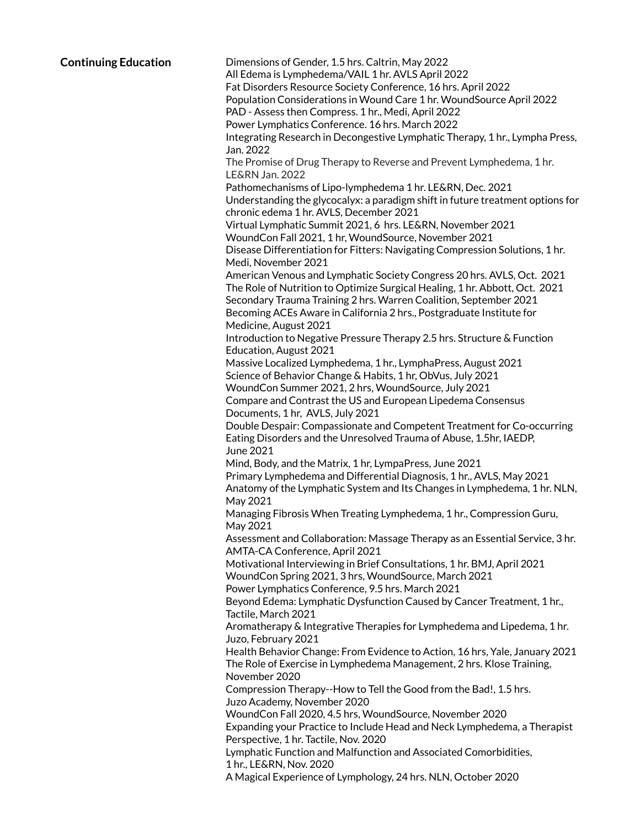**Continuing Education** Dimensions of Gender, 1.5 hrs. Caltrin, May 2022 All Edema is Lymphedema/VAIL 1 hr. AVLS April 2022 Fat Disorders Resource Society Conference, 16 hrs. April 2022 Population Considerations in Wound Care 1 hr. WoundSource April 2022 PAD - Assess then Compress. 1 hr., Medi, April 2022 Power Lymphatics Conference. 16 hrs. March 2022 Integrating Research in Decongestive Lymphatic Therapy, 1 hr., Lympha Press, Jan. 2022 The Promise of Drug Therapy to Reverse and Prevent Lymphedema, 1 hr. LE&RN Jan. 2022 Pathomechanisms of Lipo-lymphedema 1 hr. LE&RN, Dec. 2021 Understanding the glycocalyx: a paradigm shift in future treatment options for chronic edema 1 hr. AVLS, December 2021 Virtual Lymphatic Summit 2021, 6 hrs. LE&RN, November 2021 WoundCon Fall 2021, 1 hr, WoundSource, November 2021 Disease Differentiation for Fitters: Navigating Compression Solutions, 1 hr. Medi, November 2021 American Venous and Lymphatic Society Congress 20 hrs. AVLS, Oct. 2021 The Role of Nutrition to Optimize Surgical Healing, 1 hr. Abbott, Oct. 2021 Secondary Trauma Training 2 hrs. Warren Coalition, September 2021 Becoming ACEs Aware in California 2 hrs., Postgraduate Institute for Medicine, August 2021 Introduction to Negative Pressure Therapy 2.5 hrs. Structure & Function Education, August 2021 Massive Localized Lymphedema, 1 hr., LymphaPress, August 2021 Science of Behavior Change & Habits, 1 hr, ObVus, July 2021 WoundCon Summer 2021, 2 hrs, WoundSource, July 2021 Compare and Contrast the US and European Lipedema Consensus Documents, 1 hr, AVLS, July 2021 Double Despair: Compassionate and Competent Treatment for Co-occurring Eating Disorders and the Unresolved Trauma of Abuse, 1.5hr, IAEDP, June 2021 Mind, Body, and the Matrix, 1 hr, LympaPress, June 2021 Primary Lymphedema and Differential Diagnosis, 1 hr., AVLS, May 2021 Anatomy of the Lymphatic System and Its Changes in Lymphedema, 1 hr. NLN, May 2021 Managing Fibrosis When Treating Lymphedema, 1 hr., Compression Guru, May 2021 Assessment and Collaboration: Massage Therapy as an Essential Service, 3 hr. AMTA-CA Conference, April 2021 Motivational Interviewing in Brief Consultations, 1 hr. BMJ, April 2021 WoundCon Spring 2021, 3 hrs, WoundSource, March 2021 Power Lymphatics Conference, 9.5 hrs. March 2021 Beyond Edema: Lymphatic Dysfunction Caused by Cancer Treatment, 1 hr., Tactile, March 2021 Aromatherapy & Integrative Therapies for Lymphedema and Lipedema, 1 hr. Juzo, February 2021 Health Behavior Change: From Evidence to Action, 16 hrs, Yale, January 2021 The Role of Exercise in Lymphedema Management, 2 hrs. Klose Training, November 2020 Compression Therapy--How to Tell the Good from the Bad!, 1.5 hrs. Juzo Academy, November 2020 WoundCon Fall 2020, 4.5 hrs, WoundSource, November 2020 Expanding your Practice to Include Head and Neck Lymphedema, a Therapist Perspective, 1 hr. Tactile, Nov. 2020 Lymphatic Function and Malfunction and Associated Comorbidities, 1 hr., LE&RN, Nov. 2020 A Magical Experience of Lymphology, 24 hrs. NLN, October 2020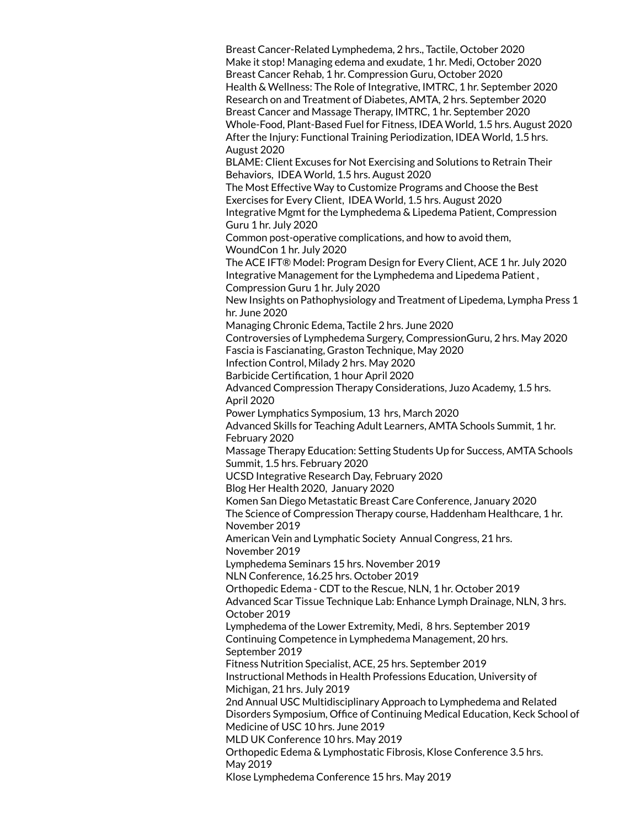Breast Cancer-Related Lymphedema, 2 hrs., Tactile, October 2020 Make it stop! Managing edema and exudate, 1 hr. Medi, October 2020 Breast Cancer Rehab, 1 hr. Compression Guru, October 2020 Health & Wellness: The Role of Integrative, IMTRC, 1 hr. September 2020 Research on and Treatment of Diabetes, AMTA, 2 hrs. September 2020 Breast Cancer and Massage Therapy, IMTRC, 1 hr. September 2020 Whole-Food, Plant-Based Fuel for Fitness, IDEA World, 1.5 hrs. August 2020 After the Injury: Functional Training Periodization, IDEA World, 1.5 hrs. August 2020 BLAME: Client Excuses for Not Exercising and Solutions to Retrain Their Behaviors, IDEA World, 1.5 hrs. August 2020 The Most Effective Way to Customize Programs and Choose the Best Exercises for Every Client, IDEA World, 1.5 hrs. August 2020 Integrative Mgmt for the Lymphedema & Lipedema Patient, Compression Guru 1 hr. July 2020 Common post-operative complications, and how to avoid them, WoundCon 1 hr. July 2020 The ACE IFT® Model: Program Design for Every Client, ACE 1 hr. July 2020 Integrative Management for the Lymphedema and Lipedema Patient , Compression Guru 1 hr. July 2020 New Insights on Pathophysiology and Treatment of Lipedema, Lympha Press 1 hr. June 2020 Managing Chronic Edema, Tactile 2 hrs. June 2020 Controversies of Lymphedema Surgery, CompressionGuru, 2 hrs. May 2020 Fascia is Fascianating, Graston Technique, May 2020 Infection Control, Milady 2 hrs. May 2020 Barbicide Certification, 1 hour April 2020 Advanced Compression Therapy Considerations, Juzo Academy, 1.5 hrs. April 2020 Power Lymphatics Symposium, 13 hrs, March 2020 Advanced Skills for Teaching Adult Learners, AMTA Schools Summit, 1 hr. February 2020 Massage Therapy Education: Setting Students Up for Success, AMTA Schools Summit, 1.5 hrs. February 2020 UCSD Integrative Research Day, February 2020 Blog Her Health 2020, January 2020 Komen San Diego Metastatic Breast Care Conference, January 2020 The Science of Compression Therapy course, Haddenham Healthcare, 1 hr. November 2019 American Vein and Lymphatic Society Annual Congress, 21 hrs. November 2019 Lymphedema Seminars 15 hrs. November 2019 NLN Conference, 16.25 hrs. October 2019 Orthopedic Edema - CDT to the Rescue, NLN, 1 hr. October 2019 Advanced Scar Tissue Technique Lab: Enhance Lymph Drainage, NLN, 3 hrs. October 2019 Lymphedema of the Lower Extremity, Medi, 8 hrs. September 2019 Continuing Competence in Lymphedema Management, 20 hrs. September 2019 Fitness Nutrition Specialist, ACE, 25 hrs. September 2019 Instructional Methods in Health Professions Education, University of Michigan, 21 hrs. July 2019 2nd Annual USC Multidisciplinary Approach to Lymphedema and Related Disorders Symposium, Office of Continuing Medical Education, Keck School of Medicine of USC 10 hrs. June 2019 MLD UK Conference 10 hrs. May 2019 Orthopedic Edema & Lymphostatic Fibrosis, Klose Conference 3.5 hrs. May 2019 Klose Lymphedema Conference 15 hrs. May 2019